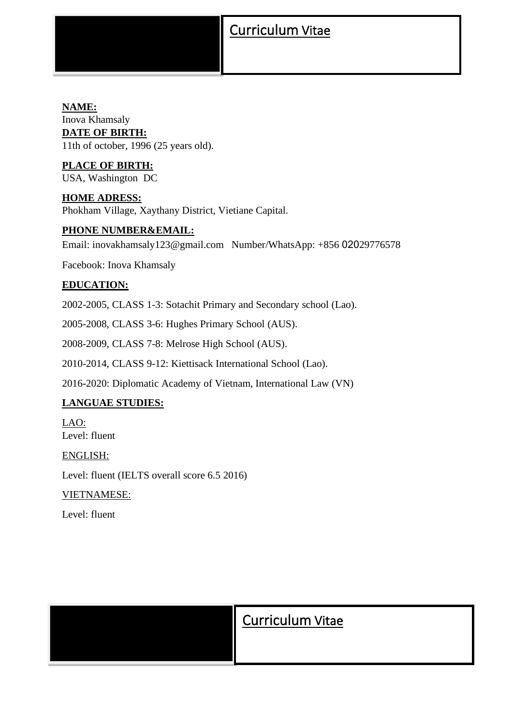## Curriculum Vitae

#### **NAME:** Inova Khamsaly **DATE OF BIRTH:** 11th of october, 1996 (25 years old).

**PLACE OF BIRTH:** USA, Washington DC

**HOME ADRESS:** Phokham Village, Xaythany District, Vietiane Capital.

#### **PHONE NUMBER&EMAIL:**

Email: inovakhamsaly123@gmail.com Number/WhatsApp: +856 02029776578

Facebook: Inova Khamsaly

#### **EDUCATION:**

2002-2005, CLASS 1-3: Sotachit Primary and Secondary school (Lao).

2005-2008, CLASS 3-6: Hughes Primary School (AUS).

2008-2009, CLASS 7-8: Melrose High School (AUS).

2010-2014, CLASS 9-12: Kiettisack International School (Lao).

2016-2020: Diplomatic Academy of Vietnam, International Law (VN)

#### **LANGUAE STUDIES:**

LAO: Level: fluent

ENGLISH:

Level: fluent (IELTS overall score 6.5 2016)

VIETNAMESE:

Level: fluent

| <b>Curriculum Vitae</b> |
|-------------------------|
|                         |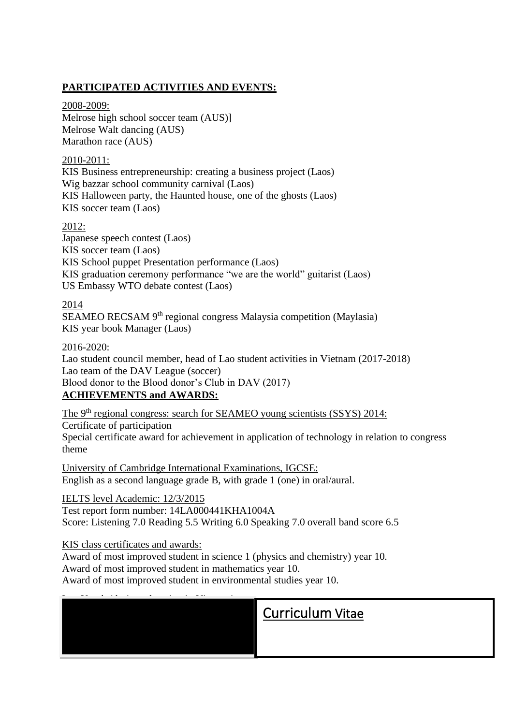### **PARTICIPATED ACTIVITIES AND EVENTS:**

#### 2008-2009:

Melrose high school soccer team (AUS)] Melrose Walt dancing (AUS) Marathon race (AUS)

#### 2010-2011:

KIS Business entrepreneurship: creating a business project (Laos) Wig bazzar school community carnival (Laos) KIS Halloween party, the Haunted house, one of the ghosts (Laos) KIS soccer team (Laos)

#### 2012:

Japanese speech contest (Laos) KIS soccer team (Laos) KIS School puppet Presentation performance (Laos) KIS graduation ceremony performance "we are the world" guitarist (Laos) US Embassy WTO debate contest (Laos)

#### 2014

SEAMEO RECSAM 9<sup>th</sup> regional congress Malaysia competition (Maylasia) KIS year book Manager (Laos)

#### 2016-2020:

Lao student council member, head of Lao student activities in Vietnam (2017-2018) Lao team of the DAV League (soccer) Blood donor to the Blood donor's Club in DAV (2017) **ACHIEVEMENTS and AWARDS:**

# The 9<sup>th</sup> regional congress: search for SEAMEO young scientists (SSYS) 2014:

Certificate of participation Special certificate award for achievement in application of technology in relation to congress theme

University of Cambridge International Examinations, IGCSE: English as a second language grade B, with grade 1 (one) in oral/aural.

IELTS level Academic: 12/3/2015 Test report form number: 14LA000441KHA1004A Score: Listening 7.0 Reading 5.5 Writing 6.0 Speaking 7.0 overall band score 6.5

#### KIS class certificates and awards:

Award of most improved student in science 1 (physics and chemistry) year 10. Award of most improved student in mathematics year 10. Award of most improved student in environmental studies year 10.

|  |  |  |  |  | <b>Curriculum Vitae</b> |  |
|--|--|--|--|--|-------------------------|--|